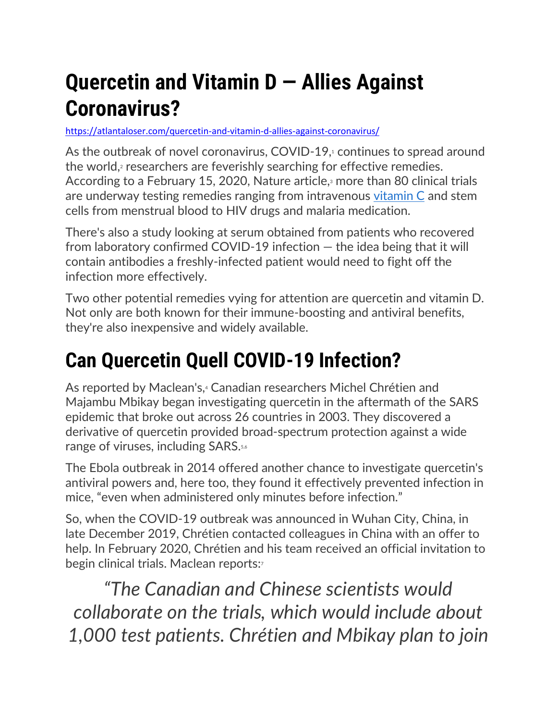# **Quercetin and Vitamin D — Allies Against Coronavirus?**

#### <https://atlantaloser.com/quercetin-and-vitamin-d-allies-against-coronavirus/>

As the outbreak of novel coronavirus, COVID-19,<sup>1</sup> continues to spread around the world,<sup>2</sup> researchers are feverishly searching for effective remedies. According to a February 15, 2020, Nature article,<sup>3</sup> more than 80 clinical trials are underway testing remedies ranging from intravenous [vitamin C](https://articles.mercola.com/sites/articles/archive/2020/02/24/iv-vitamin-c.aspx) and stem cells from menstrual blood to HIV drugs and malaria medication.

There's also a study looking at serum obtained from patients who recovered from laboratory confirmed COVID-19 infection — the idea being that it will contain antibodies a freshly-infected patient would need to fight off the infection more effectively.

Two other potential remedies vying for attention are quercetin and vitamin D. Not only are both known for their immune-boosting and antiviral benefits, they're also inexpensive and widely available.

# **Can Quercetin Quell COVID-19 Infection?**

As reported by Maclean's.<sup>4</sup> Canadian researchers Michel Chrétien and Majambu Mbikay began investigating quercetin in the aftermath of the SARS epidemic that broke out across 26 countries in 2003. They discovered a derivative of quercetin provided broad-spectrum protection against a wide range of viruses, including SARS.<sup>5,6</sup>

The Ebola outbreak in 2014 offered another chance to investigate quercetin's antiviral powers and, here too, they found it effectively prevented infection in mice, "even when administered only minutes before infection."

So, when the COVID-19 outbreak was announced in Wuhan City, China, in late December 2019, Chrétien contacted colleagues in China with an offer to help. In February 2020, Chrétien and his team received an official invitation to begin clinical trials. Maclean reports:

*"The Canadian and Chinese scientists would collaborate on the trials, which would include about 1,000 test patients. Chrétien and Mbikay plan to join*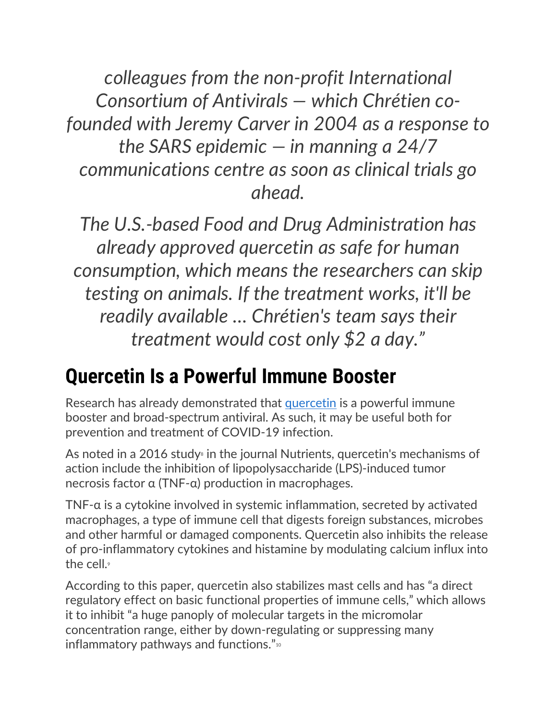*colleagues from the non-profit International Consortium of Antivirals — which Chrétien cofounded with Jeremy Carver in 2004 as a response to the SARS epidemic — in manning a 24/7 communications centre as soon as clinical trials go ahead.*

*The U.S.-based Food and Drug Administration has already approved quercetin as safe for human consumption, which means the researchers can skip testing on animals. If the treatment works, it'll be readily available … Chrétien's team says their treatment would cost only \$2 a day."*

#### **Quercetin Is a Powerful Immune Booster**

Research has already demonstrated that [quercetin](https://articles.mercola.com/vitamins-supplements/quercetin.aspx) is a powerful immune booster and broad-spectrum antiviral. As such, it may be useful both for prevention and treatment of COVID-19 infection.

As noted in a 2016 study $\scriptstyle\rm s$  in the journal Nutrients, quercetin's mechanisms of action include the inhibition of lipopolysaccharide (LPS)-induced tumor necrosis factor α (TNF-α) production in macrophages.

TNF-α is a cytokine involved in systemic inflammation, secreted by activated macrophages, a type of immune cell that digests foreign substances, microbes and other harmful or damaged components. Quercetin also inhibits the release of pro-inflammatory cytokines and histamine by modulating calcium influx into the cell.<sup>9</sup>

According to this paper, quercetin also stabilizes mast cells and has "a direct regulatory effect on basic functional properties of immune cells," which allows it to inhibit "a huge panoply of molecular targets in the micromolar concentration range, either by down-regulating or suppressing many inflammatory pathways and functions."<sup>10</sup>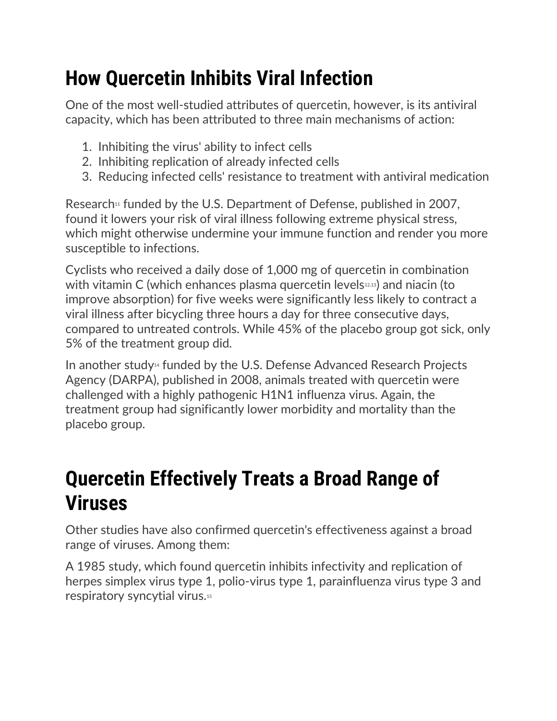# **How Quercetin Inhibits Viral Infection**

One of the most well-studied attributes of quercetin, however, is its antiviral capacity, which has been attributed to three main mechanisms of action:

- 1. Inhibiting the virus' ability to infect cells
- 2. Inhibiting replication of already infected cells
- 3. Reducing infected cells' resistance to treatment with antiviral medication

Research $\mu$  funded by the U.S. Department of Defense, published in 2007, found it lowers your risk of viral illness following extreme physical stress, which might otherwise undermine your immune function and render you more susceptible to infections.

Cyclists who received a daily dose of 1,000 mg of quercetin in combination with vitamin C (which enhances plasma quercetin levels $42,13$ ) and niacin (to improve absorption) for five weeks were significantly less likely to contract a viral illness after bicycling three hours a day for three consecutive days, compared to untreated controls. While 45% of the placebo group got sick, only 5% of the treatment group did.

In another study<sup>14</sup> funded by the U.S. Defense Advanced Research Projects Agency (DARPA), published in 2008, animals treated with quercetin were challenged with a highly pathogenic H1N1 influenza virus. Again, the treatment group had significantly lower morbidity and mortality than the placebo group.

#### **Quercetin Effectively Treats a Broad Range of Viruses**

Other studies have also confirmed quercetin's effectiveness against a broad range of viruses. Among them:

A 1985 study, which found quercetin inhibits infectivity and replication of herpes simplex virus type 1, polio-virus type 1, parainfluenza virus type 3 and respiratory syncytial virus.15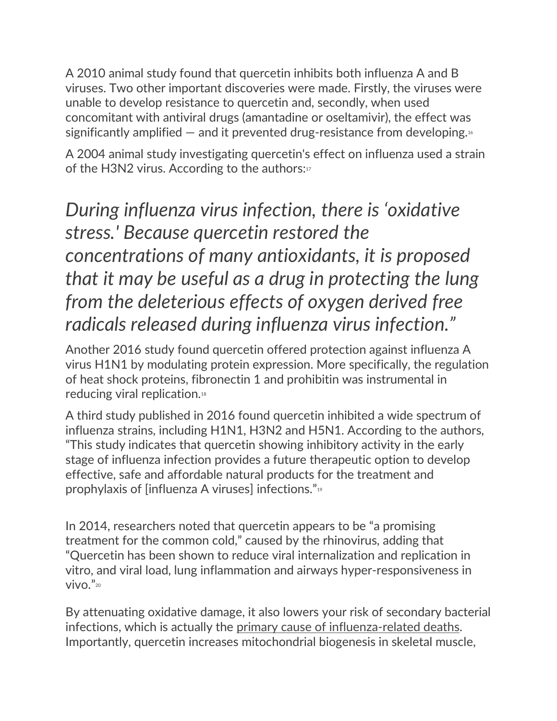A 2010 animal study found that quercetin inhibits both influenza A and B viruses. Two other important discoveries were made. Firstly, the viruses were unable to develop resistance to quercetin and, secondly, when used concomitant with antiviral drugs (amantadine or oseltamivir), the effect was significantly amplified  $-$  and it prevented drug-resistance from developing.<sup>16</sup>

A 2004 animal study investigating quercetin's effect on influenza used a strain of the H3N2 virus. According to the authors:<sup>17</sup>

*During influenza virus infection, there is 'oxidative stress.' Because quercetin restored the concentrations of many antioxidants, it is proposed that it may be useful as a drug in protecting the lung from the deleterious effects of oxygen derived free radicals released during influenza virus infection."*

Another 2016 study found quercetin offered protection against influenza A virus H1N1 by modulating protein expression. More specifically, the regulation of heat shock proteins, fibronectin 1 and prohibitin was instrumental in reducing viral replication.<sup>18</sup>

A third study published in 2016 found quercetin inhibited a wide spectrum of influenza strains, including H1N1, H3N2 and H5N1. According to the authors, "This study indicates that quercetin showing inhibitory activity in the early stage of influenza infection provides a future therapeutic option to develop effective, safe and affordable natural products for the treatment and prophylaxis of [influenza A viruses] infections."<sup>19</sup>

In 2014, researchers noted that quercetin appears to be "a promising treatment for the common cold," caused by the rhinovirus, adding that "Quercetin has been shown to reduce viral internalization and replication in vitro, and viral load, lung inflammation and airways hyper-responsiveness in vivo." $20$ 

By attenuating oxidative damage, it also lowers your risk of secondary bacterial infections, which is actually the [primary cause of influenza-related deaths.](https://articles.mercola.com/sites/articles/archive/2018/02/01/how-influenza-can-lead-to-sepsis.aspx) Importantly, quercetin increases mitochondrial biogenesis in skeletal muscle,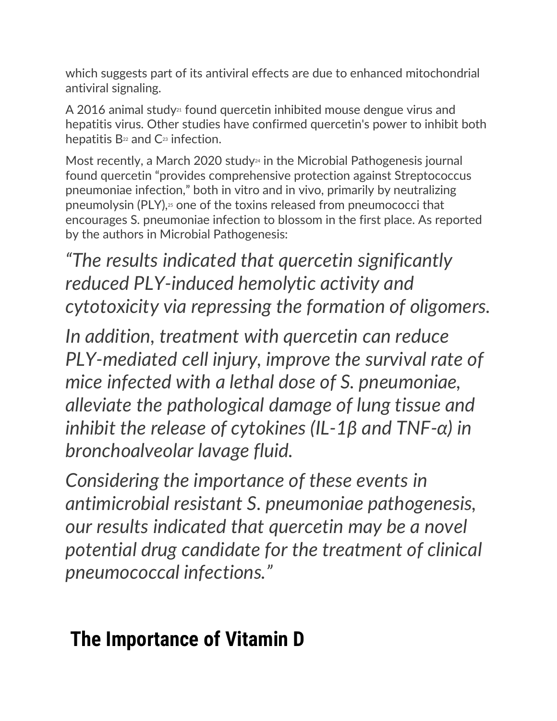which suggests part of its antiviral effects are due to enhanced mitochondrial antiviral signaling.

A 2016 animal study<sup>21</sup> found quercetin inhibited mouse dengue virus and hepatitis virus. Other studies have confirmed quercetin's power to inhibit both hepatitis  $B<sub>22</sub>$  and  $C<sub>23</sub>$  infection.

Most recently, a March 2020 study<sup>24</sup> in the Microbial Pathogenesis journal found quercetin "provides comprehensive protection against Streptococcus pneumoniae infection," both in vitro and in vivo, primarily by neutralizing pneumolysin (PLY),<sup>25</sup> one of the toxins released from pneumococci that encourages S. pneumoniae infection to blossom in the first place. As reported by the authors in Microbial Pathogenesis:

*"The results indicated that quercetin significantly reduced PLY-induced hemolytic activity and cytotoxicity via repressing the formation of oligomers.*

*In addition, treatment with quercetin can reduce PLY-mediated cell injury, improve the survival rate of mice infected with a lethal dose of S. pneumoniae, alleviate the pathological damage of lung tissue and inhibit the release of cytokines (IL-1β and TNF-α) in bronchoalveolar lavage fluid.*

*Considering the importance of these events in antimicrobial resistant S. pneumoniae pathogenesis, our results indicated that quercetin may be a novel potential drug candidate for the treatment of clinical pneumococcal infections."*

## **The Importance of Vitamin D**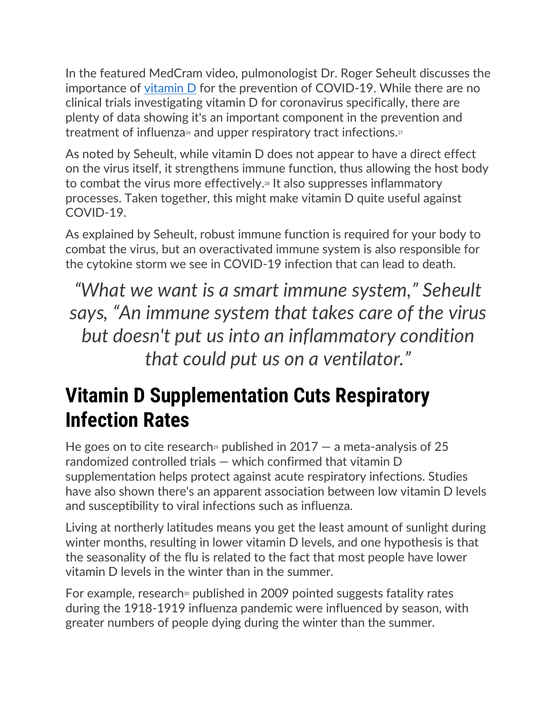In the featured MedCram video, pulmonologist Dr. Roger Seheult discusses the importance of [vitamin D](https://www.mercola.com/article/vitamin-d-resources.htm) for the prevention of COVID-19. While there are no clinical trials investigating vitamin D for coronavirus specifically, there are plenty of data showing it's an important component in the prevention and treatment of influenza<sup> $\alpha$ </sup> and upper respiratory tract infections. $\alpha$ 

As noted by Seheult, while vitamin D does not appear to have a direct effect on the virus itself, it strengthens immune function, thus allowing the host body to combat the virus more effectively.<sup>28</sup> It also suppresses inflammatory processes. Taken together, this might make vitamin D quite useful against COVID-19.

As explained by Seheult, robust immune function is required for your body to combat the virus, but an overactivated immune system is also responsible for the cytokine storm we see in COVID-19 infection that can lead to death.

*"What we want is a smart immune system," Seheult says, "An immune system that takes care of the virus but doesn't put us into an inflammatory condition that could put us on a ventilator."*

## **Vitamin D Supplementation Cuts Respiratory Infection Rates**

He goes on to cite research<sup>®</sup> published in  $2017 - a$  meta-analysis of 25 randomized controlled trials — which confirmed that vitamin D supplementation helps protect against acute respiratory infections. Studies have also shown there's an apparent association between low vitamin D levels and susceptibility to viral infections such as influenza.

Living at northerly latitudes means you get the least amount of sunlight during winter months, resulting in lower vitamin D levels, and one hypothesis is that the seasonality of the flu is related to the fact that most people have lower vitamin D levels in the winter than in the summer.

For example, research<sup>30</sup> published in 2009 pointed suggests fatality rates during the 1918-1919 influenza pandemic were influenced by season, with greater numbers of people dying during the winter than the summer.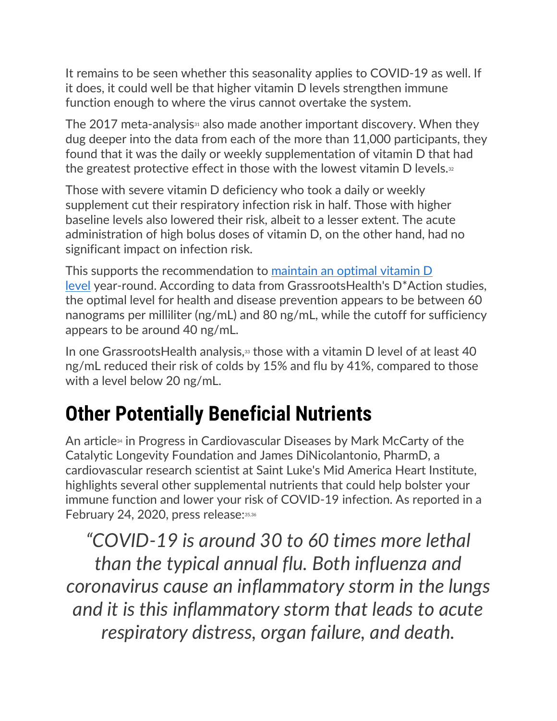It remains to be seen whether this seasonality applies to COVID-19 as well. If it does, it could well be that higher vitamin D levels strengthen immune function enough to where the virus cannot overtake the system.

The 2017 meta-analysis $\alpha$  also made another important discovery. When they dug deeper into the data from each of the more than 11,000 participants, they found that it was the daily or weekly supplementation of vitamin D that had the greatest protective effect in those with the lowest vitamin  $D$  levels. $32$ 

Those with severe vitamin D deficiency who took a daily or weekly supplement cut their respiratory infection risk in half. Those with higher baseline levels also lowered their risk, albeit to a lesser extent. The acute administration of high bolus doses of vitamin D, on the other hand, had no significant impact on infection risk.

This supports the recommendation to [maintain an optimal vitamin D](https://articles.mercola.com/sites/articles/archive/2017/12/20/vitamin-d-level.aspx)  [level](https://articles.mercola.com/sites/articles/archive/2017/12/20/vitamin-d-level.aspx) year-round. According to data from GrassrootsHealth's D\*Action studies, the optimal level for health and disease prevention appears to be between 60 nanograms per milliliter (ng/mL) and 80 ng/mL, while the cutoff for sufficiency appears to be around 40 ng/mL.

In one Grassroots Health analysis, $33$  those with a vitamin D level of at least 40 ng/mL reduced their risk of colds by 15% and flu by 41%, compared to those with a level below 20 ng/mL.

## **Other Potentially Beneficial Nutrients**

An article<sup>34</sup> in Progress in Cardiovascular Diseases by Mark McCarty of the Catalytic Longevity Foundation and James DiNicolantonio, PharmD, a cardiovascular research scientist at Saint Luke's Mid America Heart Institute, highlights several other supplemental nutrients that could help bolster your immune function and lower your risk of COVID-19 infection. As reported in a February 24, 2020, press release: 35,36

*"COVID-19 is around 30 to 60 times more lethal than the typical annual flu. Both influenza and coronavirus cause an inflammatory storm in the lungs and it is this inflammatory storm that leads to acute respiratory distress, organ failure, and death.*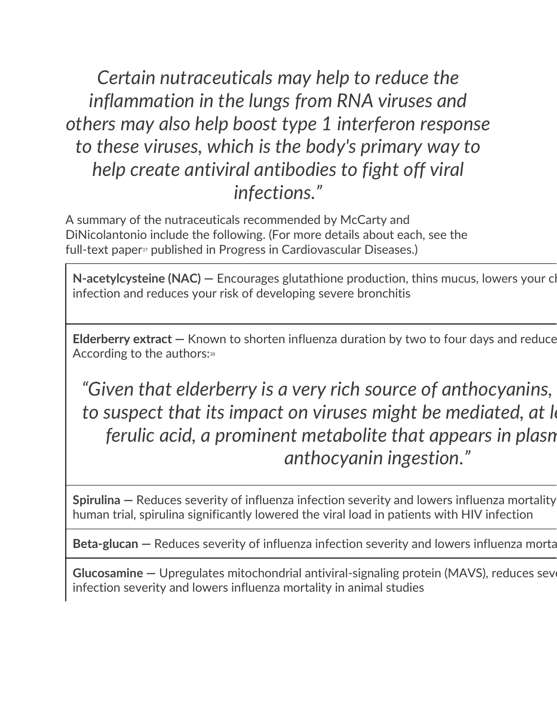*Certain nutraceuticals may help to reduce the inflammation in the lungs from RNA viruses and others may also help boost type 1 interferon response to these viruses, which is the body's primary way to help create antiviral antibodies to fight off viral infections."*

A summary of the nutraceuticals recommended by McCarty and DiNicolantonio include the following. (For more details about each, see the full-text paper<sup>37</sup> published in Progress in Cardiovascular Diseases.)

**[N-acetylcysteine \(NAC\)](https://articles.mercola.com/sites/articles/archive/2017/12/18/n-acetylcysteine-supplement-benefits.aspx) — Encourages glutathione production, thins mucus, lowers your cl** infection and reduces your risk of developing severe bronchitis

**Elderberry extract –** Known to shorten influenza duration by two to four days and reduce According to the authors:<sup>38</sup>

*"Given that elderberry is a very rich source of anthocyanins, there is reason*  to suspect that its impact on viruses might be mediated, at *least in part, by reast in part, by cuspect* in part, by  $\alpha$ *ferulic acid, a prominent metabolite that appears in plasn anthocyanin ingestion."*

**[Spirulina](https://articles.mercola.com/sites/articles/archive/2018/11/05/spirulina-health-benefits.aspx)** – Reduces severity of influenza infection severity and lowers influenza mortality human trial, spirulina significantly lowered the viral load in patients with HIV infection

**Beta-glucan –** Reduces severity of influenza infection severity and lowers influenza morta

**[Glucosamine](https://articles.mercola.com/vitamins-supplements/glucosamine.aspx)** — Upregulates mitochondrial antiviral-signaling protein (MAVS), reduces sever infection severity and lowers influenza mortality in animal studies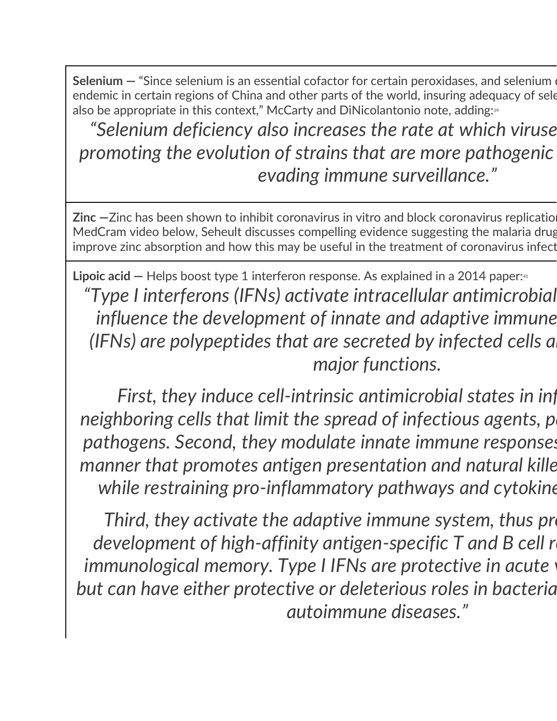**[Selenium](https://articles.mercola.com/vitamins-supplements/selenium.aspx) –** "Since selenium is an essential cofactor for certain peroxidases, and selenium of endemic in certain regions of China and other parts of the world, insuring adequacy of sele also be appropriate in this context," McCarty and DiNicolantonio note, adding:<sup>39</sup>

"Selenium deficiency also increases the rate at which viruse *promoting the evolution of strains that are more pathogenic evading immune surveillance."*

**[Zinc](https://articles.mercola.com/sites/articles/archive/2019/04/29/are-you-getting-enough-zinc.aspx)**  $-$ Zinc has been shown to inhibit coronavirus in vitro and block coronavirus replicatio MedCram video below, Seheult discusses compelling evidence suggesting the malaria drug improve zinc absorption and how this may be useful in the treatment of coronavirus infect

**Lipoic acid –** Helps boost type 1 interferon response. As explained in a 2014 paper:<sup>41</sup> *"Type I interferons (IFNs) activate intracellular antimicrobial programs and influence the development of innate and adaptive immune (IFNs) are polypeptides that are secreted by infected cells a major functions.*

*First, they induce cell-intrinsic antimicrobial states in inf neighboring cells that limit the spread of infectious agents, particularly viral and integral neighboring cells that* pathogens. Second, they modulate innate immune responses *manner that promotes antigen presentation and natural killer while restraining pro-inflammatory pathways and cytokine* 

*Third, they activate the adaptive immune system, thus produity development of high-affinity antigen-specific T and B cell r immunological memory. Type I IFNs are protective in acute* but can have either protective or deleterious roles in bacteria *autoimmune diseases."*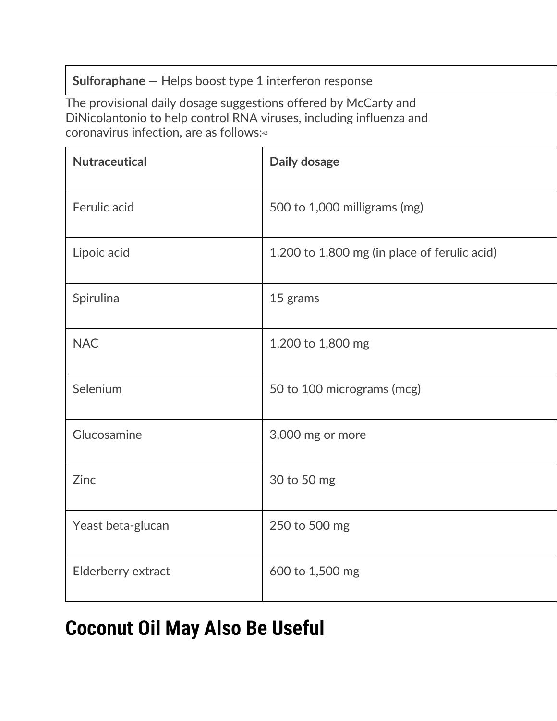#### **[Sulforaphane](https://articles.mercola.com/sites/articles/archive/2019/05/23/broccoli-sulforaphane-health-benefits.aspx) —** Helps boost type 1 interferon response

The provisional daily dosage suggestions offered by McCarty and DiNicolantonio to help control RNA viruses, including influenza and coronavirus infection, are as follows:42

| <b>Nutraceutical</b> | Daily dosage                                 |
|----------------------|----------------------------------------------|
| Ferulic acid         | 500 to 1,000 milligrams (mg)                 |
| Lipoic acid          | 1,200 to 1,800 mg (in place of ferulic acid) |
| Spirulina            | 15 grams                                     |
| <b>NAC</b>           | 1,200 to 1,800 mg                            |
| Selenium             | 50 to 100 micrograms (mcg)                   |
| Glucosamine          | 3,000 mg or more                             |
| Zinc                 | 30 to 50 mg                                  |
| Yeast beta-glucan    | 250 to 500 mg                                |
| Elderberry extract   | 600 to 1,500 mg                              |

## **Coconut Oil May Also Be Useful**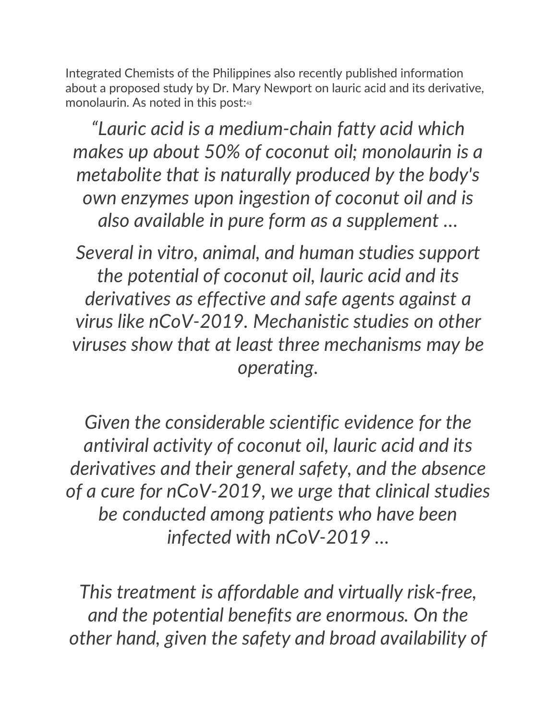Integrated Chemists of the Philippines also recently published information about a proposed study by Dr. Mary Newport on lauric acid and its derivative, monolaurin. As noted in this post:43

*"Lauric acid is a medium-chain fatty acid which makes up about 50% of coconut oil; monolaurin is a metabolite that is naturally produced by the body's own enzymes upon ingestion of coconut oil and is also available in pure form as a supplement …*

*Several in vitro, animal, and human studies support the potential of coconut oil, lauric acid and its derivatives as effective and safe agents against a virus like nCoV-2019. Mechanistic studies on other viruses show that at least three mechanisms may be operating.*

*Given the considerable scientific evidence for the antiviral activity of coconut oil, lauric acid and its derivatives and their general safety, and the absence of a cure for nCoV-2019, we urge that clinical studies be conducted among patients who have been infected with nCoV-2019 …*

*This treatment is affordable and virtually risk-free, and the potential benefits are enormous. On the other hand, given the safety and broad availability of*